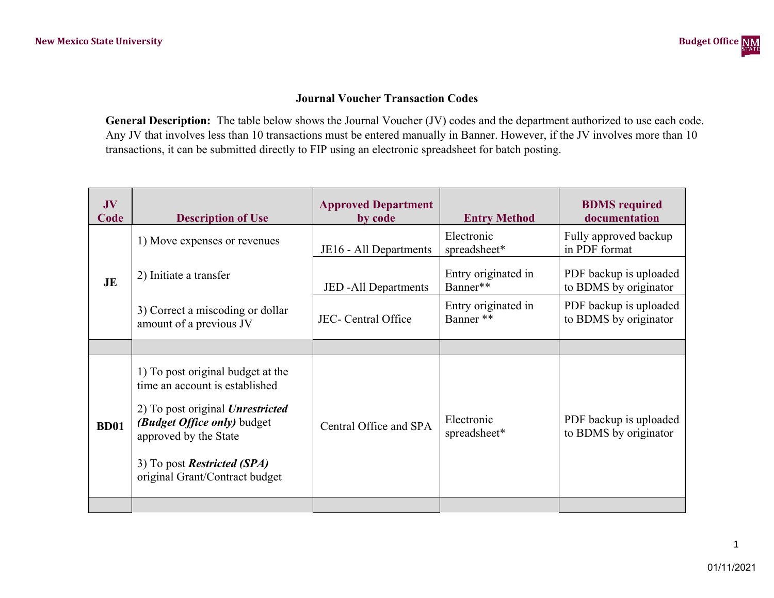## **Journal Voucher Transaction Codes**

**General Description:** The table below shows the Journal Voucher (JV) codes and the department authorized to use each code. Any JV that involves less than 10 transactions must be entered manually in Banner. However, if the JV involves more than 10 transactions, it can be submitted directly to FIP using an electronic spreadsheet for batch posting.

| JV<br>Code  | <b>Description of Use</b>                                                                                                                                                                                                                      | <b>Approved Department</b><br>by code | <b>Entry Method</b>              | <b>BDMS</b> required<br>documentation           |
|-------------|------------------------------------------------------------------------------------------------------------------------------------------------------------------------------------------------------------------------------------------------|---------------------------------------|----------------------------------|-------------------------------------------------|
|             | 1) Move expenses or revenues                                                                                                                                                                                                                   | JE16 - All Departments                | Electronic<br>spreadsheet*       | Fully approved backup<br>in PDF format          |
| JE          | 2) Initiate a transfer                                                                                                                                                                                                                         | <b>JED</b> - All Departments          | Entry originated in<br>Banner**  | PDF backup is uploaded<br>to BDMS by originator |
|             | 3) Correct a miscoding or dollar<br>amount of a previous JV                                                                                                                                                                                    | JEC- Central Office                   | Entry originated in<br>Banner ** | PDF backup is uploaded<br>to BDMS by originator |
|             |                                                                                                                                                                                                                                                |                                       |                                  |                                                 |
| <b>BD01</b> | 1) To post original budget at the<br>time an account is established<br>2) To post original <i>Unrestricted</i><br>(Budget Office only) budget<br>approved by the State<br>3) To post <b>Restricted</b> (SPA)<br>original Grant/Contract budget | Central Office and SPA                | Electronic<br>spreadsheet*       | PDF backup is uploaded<br>to BDMS by originator |
|             |                                                                                                                                                                                                                                                |                                       |                                  |                                                 |